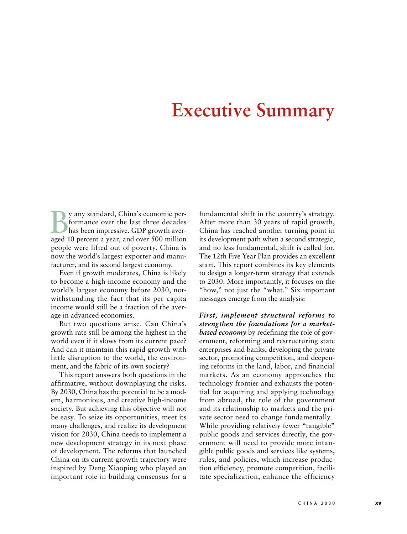## **Executive Summary**

By any standard, China's economic per-<br>formance over the last three decades<br>has been impressive. GDP growth aver-<br>aged 10 persont a way and over 500 million formance over the last three decades has been impressive. GDP growth averaged 10 percent a year, and over 500 million people were lifted out of poverty. China is now the world's largest exporter and manufacturer, and its second largest economy.

Even if growth moderates, China is likely to become a high-income economy and the world's largest economy before 2030, notwithstanding the fact that its per capita income would still be a fraction of the average in advanced economies.

But two questions arise. Can China's growth rate still be among the highest in the world even if it slows from its current pace? And can it maintain this rapid growth with little disruption to the world, the environment, and the fabric of its own society?

This report answers both questions in the affirmative, without downplaying the risks. By 2030, China has the potential to be a modern, harmonious, and creative high-income society. But achieving this objective will not be easy. To seize its opportunities, meet its many challenges, and realize its development vision for 2030, China needs to implement a new development strategy in its next phase of development. The reforms that launched China on its current growth trajectory were inspired by Deng Xiaoping who played an important role in building consensus for a fundamental shift in the country's strategy. After more than 30 years of rapid growth, China has reached another turning point in its development path when a second strategic, and no less fundamental, shift is called for. The 12th Five Year Plan provides an excellent start. This report combines its key elements to design a longer-term strategy that extends to 2030. More importantly, it focuses on the "how," not just the "what." Six important messages emerge from the analysis:

*First, implement structural reforms to strengthen the foundations for a marketbased economy* by redefining the role of government, reforming and restructuring state enterprises and banks, developing the private sector, promoting competition, and deepening reforms in the land, labor, and financial markets. As an economy approaches the technology frontier and exhausts the potential for acquiring and applying technology from abroad, the role of the government and its relationship to markets and the private sector need to change fundamentally. While providing relatively fewer "tangible" public goods and services directly, the government will need to provide more intangible public goods and services like systems, rules, and policies, which increase production efficiency, promote competition, facilitate specialization, enhance the efficiency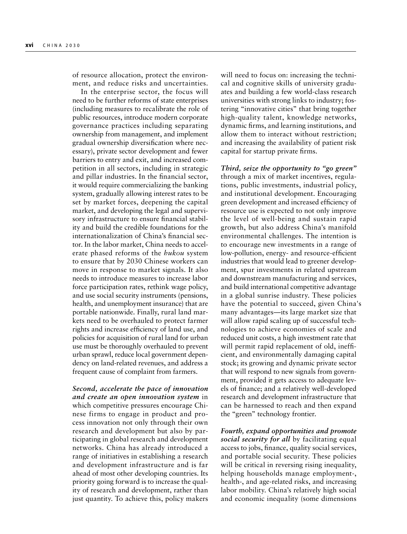of resource allocation, protect the environment, and reduce risks and uncertainties.

In the enterprise sector, the focus will need to be further reforms of state enterprises (including measures to recalibrate the role of public resources, introduce modern corporate governance practices including separating ownership from management, and implement gradual ownership diversification where necessary), private sector development and fewer barriers to entry and exit, and increased competition in all sectors, including in strategic and pillar industries. In the financial sector, it would require commercializing the banking system, gradually allowing interest rates to be set by market forces, deepening the capital market, and developing the legal and supervisory infrastructure to ensure financial stability and build the credible foundations for the internationalization of China's financial sector. In the labor market, China needs to accelerate phased reforms of the *hukou* system to ensure that by 2030 Chinese workers can move in response to market signals. It also needs to introduce measures to increase labor force participation rates, rethink wage policy, and use social security instruments (pensions, health, and unemployment insurance) that are portable nationwide. Finally, rural land markets need to be overhauled to protect farmer rights and increase efficiency of land use, and policies for acquisition of rural land for urban use must be thoroughly overhauled to prevent urban sprawl, reduce local government dependency on land-related revenues, and address a frequent cause of complaint from farmers.

*Second, accelerate the pace of innovation and create an open innovation system* in which competitive pressures encourage Chinese firms to engage in product and process innovation not only through their own research and development but also by participating in global research and development networks. China has already introduced a range of initiatives in establishing a research and development infrastructure and is far ahead of most other developing countries. Its priority going forward is to increase the quality of research and development, rather than just quantity. To achieve this, policy makers will need to focus on: increasing the technical and cognitive skills of university graduates and building a few world-class research universities with strong links to industry; fostering "innovative cities" that bring together high-quality talent, knowledge networks, dynamic firms, and learning institutions, and allow them to interact without restriction; and increasing the availability of patient risk capital for startup private firms.

*Third, seize the opportunity to "go green"*  through a mix of market incentives, regulations, public investments, industrial policy, and institutional development. Encouraging green development and increased efficiency of resource use is expected to not only improve the level of well-being and sustain rapid growth, but also address China's manifold environmental challenges. The intention is to encourage new investments in a range of low-pollution, energy- and resource-efficient industries that would lead to greener development, spur investments in related upstream and downstream manufacturing and services, and build international competitive advantage in a global sunrise industry. These policies have the potential to succeed, given China's many advantages—its large market size that will allow rapid scaling up of successful technologies to achieve economies of scale and reduced unit costs, a high investment rate that will permit rapid replacement of old, inefficient, and environmentally damaging capital stock; its growing and dynamic private sector that will respond to new signals from government, provided it gets access to adequate levels of finance; and a relatively well-developed research and development infrastructure that can be harnessed to reach and then expand the "green" technology frontier.

*Fourth, expand opportunities and promote social security for all* by facilitating equal access to jobs, finance, quality social services, and portable social security. These policies will be critical in reversing rising inequality, helping households manage employment-, health-, and age-related risks, and increasing labor mobility. China's relatively high social and economic inequality (some dimensions